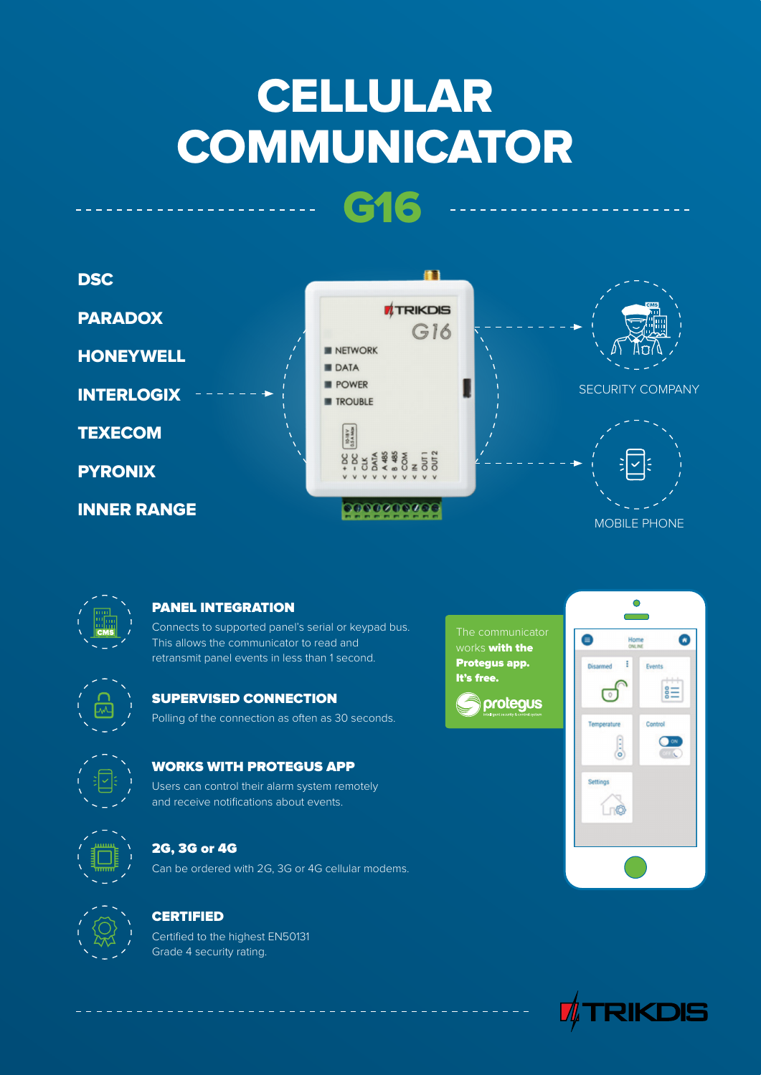# **CELLULAR COMMUNICATOR**

**G16**





### **PANEL INTEGRATION**

Connects to supported panel's serial or keypad bus. This allows the communicator to read and retransmit panel events in less than 1 second.



#### **SUPERVISED CONNECTION**

Polling of the connection as often as 30 seconds.



#### **WORKS WITH PROTEGUS APP**

Users can control their alarm system remotely and receive notifications about events.



# **2G, 3G or 4G**

Can be ordered with 2G, 3G or 4G cellular modems.



# **CERTIFIED**

Certified to the highest EN50131 Grade 4 security rating.

works **with the Protegus app. It's free.**